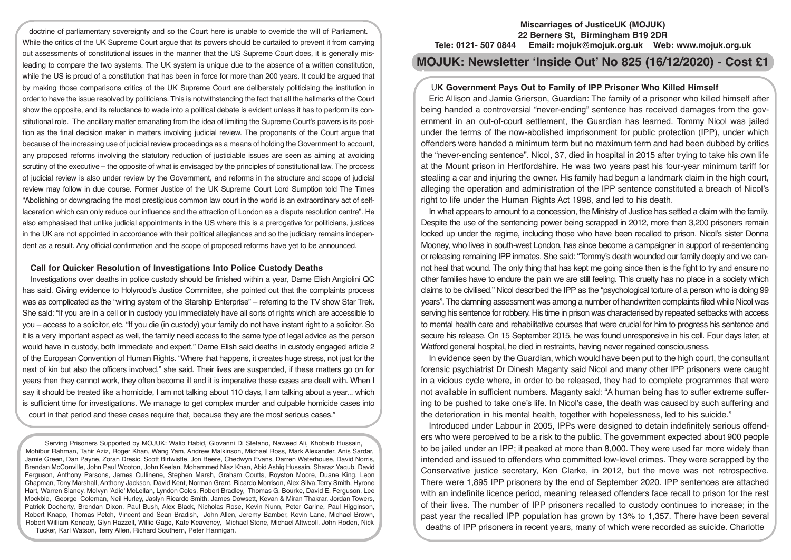doctrine of parliamentary sovereignty and so the Court here is unable to override the will of Parliament. While the critics of the UK Supreme Court argue that its powers should be curtailed to prevent it from carrying out assessments of constitutional issues in the manner that the US Supreme Court does, it is generally misleading to compare the two systems. The UK system is unique due to the absence of a written constitution, while the US is proud of a constitution that has been in force for more than 200 years. It could be argued that by making those comparisons critics of the UK Supreme Court are deliberately politicising the institution in order to have the issue resolved by politicians. This is notwithstanding the fact that all the hallmarks of the Court show the opposite, and its reluctance to wade into a political debate is evident unless it has to perform its constitutional role. The ancillary matter emanating from the idea of limiting the Supreme Court's powers is its position as the final decision maker in matters involving judicial review. The proponents of the Court argue that because of the increasing use of judicial review proceedings as a means of holding the Government to account, any proposed reforms involving the statutory reduction of justiciable issues are seen as aiming at avoiding scrutiny of the executive – the opposite of what is envisaged by the principles of constitutional law. The process of judicial review is also under review by the Government, and reforms in the structure and scope of judicial review may follow in due course. Former Justice of the UK Supreme Court Lord Sumption told The Times "Abolishing or downgrading the most prestigious common law court in the world is an extraordinary act of selflaceration which can only reduce our influence and the attraction of London as a dispute resolution centre". He also emphasised that unlike judicial appointments in the US where this is a prerogative for politicians, justices in the UK are not appointed in accordance with their political allegiances and so the judiciary remains independent as a result. Any official confirmation and the scope of proposed reforms have yet to be announced.

### **Call for Quicker Resolution of Investigations Into Police Custody Deaths**

Investigations over deaths in police custody should be finished within a year, Dame Elish Angiolini QC has said. Giving evidence to Holyrood's Justice Committee, she pointed out that the complaints process was as complicated as the "wiring system of the Starship Enterprise" – referring to the TV show Star Trek. She said: "If you are in a cell or in custody you immediately have all sorts of rights which are accessible to you – access to a solicitor, etc. "If you die (in custody) your family do not have instant right to a solicitor. So it is a very important aspect as well, the family need access to the same type of legal advice as the person would have in custody, both immediate and expert." Dame Elish said deaths in custody engaged article 2 of the European Convention of Human Rights. "Where that happens, it creates huge stress, not just for the next of kin but also the officers involved," she said. Their lives are suspended, if these matters go on for years then they cannot work, they often become ill and it is imperative these cases are dealt with. When I say it should be treated like a homicide, I am not talking about 110 days, I am talking about a year... which is sufficient time for investigations. We manage to get complex murder and culpable homicide cases into court in that period and these cases require that, because they are the most serious cases."

Serving Prisoners Supported by MOJUK: Walib Habid, Giovanni Di Stefano, Naweed Ali, Khobaib Hussain, Mohibur Rahman, Tahir Aziz, Roger Khan, Wang Yam, Andrew Malkinson, Michael Ross, Mark Alexander, Anis Sardar, Jamie Green, Dan Payne, Zoran Dresic, Scott Birtwistle, Jon Beere, Chedwyn Evans, Darren Waterhouse, David Norris, Brendan McConville, John Paul Wooton, John Keelan, Mohammed Niaz Khan, Abid Ashiq Hussain, Sharaz Yaqub, David Ferguson, Anthony Parsons, James Cullinene, Stephen Marsh, Graham Coutts, Royston Moore, Duane King, Leon Chapman, Tony Marshall, Anthony Jackson, David Kent, Norman Grant, Ricardo Morrison, Alex Silva,Terry Smith, Hyrone Hart, Warren Slaney, Melvyn 'Adie' McLellan, Lyndon Coles, Robert Bradley, Thomas G. Bourke, David E. Ferguson, Lee Mockble, George Coleman, Neil Hurley, Jaslyn Ricardo Smith, James Dowsett, Kevan & Miran Thakrar, Jordan Towers, Patrick Docherty, Brendan Dixon, Paul Bush, Alex Black, Nicholas Rose, Kevin Nunn, Peter Carine, Paul Higginson, Robert Knapp, Thomas Petch, Vincent and Sean Bradish, John Allen, Jeremy Bamber, Kevin Lane, Michael Brown, Robert William Kenealy, Glyn Razzell, Willie Gage, Kate Keaveney, Michael Stone, Michael Attwooll, John Roden, Nick Tucker, Karl Watson, Terry Allen, Richard Southern, Peter Hannigan.

#### **Miscarriages of JusticeUK (MOJUK) 22 Berners St, Birmingham B19 2DR Tele: 0121- 507 0844 Email: mojuk@mojuk.org.uk Web: www.mojuk.org.uk**

# **MOJUK: Newsletter 'Inside Out' No 825 (16/12/2020) - Cost £1**

## U**K Government Pays Out to Family of IPP Prisoner Who Killed Himself**

Eric Allison and Jamie Grierson, Guardian: The family of a prisoner who killed himself after being handed a controversial "never-ending" sentence has received damages from the government in an out-of-court settlement, the Guardian has learned. Tommy Nicol was jailed under the terms of the now-abolished imprisonment for public protection (IPP), under which offenders were handed a minimum term but no maximum term and had been dubbed by critics the "never-ending sentence". Nicol, 37, died in hospital in 2015 after trying to take his own life at the Mount prison in Hertfordshire. He was two years past his four-year minimum tariff for stealing a car and injuring the owner. His family had begun a landmark claim in the high court, alleging the operation and administration of the IPP sentence constituted a breach of Nicol's right to life under the Human Rights Act 1998, and led to his death.

In what appears to amount to a concession, the Ministry of Justice has settled a claim with the family. Despite the use of the sentencing power being scrapped in 2012, more than 3,200 prisoners remain locked up under the regime, including those who have been recalled to prison. Nicol's sister Donna Mooney, who lives in south-west London, has since become a campaigner in support of re-sentencing or releasing remaining IPP inmates. She said: "Tommy's death wounded our family deeply and we cannot heal that wound. The only thing that has kept me going since then is the fight to try and ensure no other families have to endure the pain we are still feeling. This cruelty has no place in a society which claims to be civilised." Nicol described the IPP as the "psychological torture of a person who is doing 99 years". The damning assessment was among a number of handwritten complaints filed while Nicol was serving his sentence for robbery. His time in prison was characterised by repeated setbacks with access to mental health care and rehabilitative courses that were crucial for him to progress his sentence and secure his release. On 15 September 2015, he was found unresponsive in his cell. Four days later, at Watford general hospital, he died in restraints, having never regained consciousness.

In evidence seen by the Guardian, which would have been put to the high court, the consultant forensic psychiatrist Dr Dinesh Maganty said Nicol and many other IPP prisoners were caught in a vicious cycle where, in order to be released, they had to complete programmes that were not available in sufficient numbers. Maganty said: "A human being has to suffer extreme suffering to be pushed to take one's life. In Nicol's case, the death was caused by such suffering and the deterioration in his mental health, together with hopelessness, led to his suicide."

Introduced under Labour in 2005, IPPs were designed to detain indefinitely serious offenders who were perceived to be a risk to the public. The government expected about 900 people to be jailed under an IPP; it peaked at more than 8,000. They were used far more widely than intended and issued to offenders who committed low-level crimes. They were scrapped by the Conservative justice secretary, Ken Clarke, in 2012, but the move was not retrospective. There were 1,895 IPP prisoners by the end of September 2020. IPP sentences are attached with an indefinite licence period, meaning released offenders face recall to prison for the rest of their lives. The number of IPP prisoners recalled to custody continues to increase; in the past year the recalled IPP population has grown by 13% to 1,357. There have been several deaths of IPP prisoners in recent years, many of which were recorded as suicide. Charlotte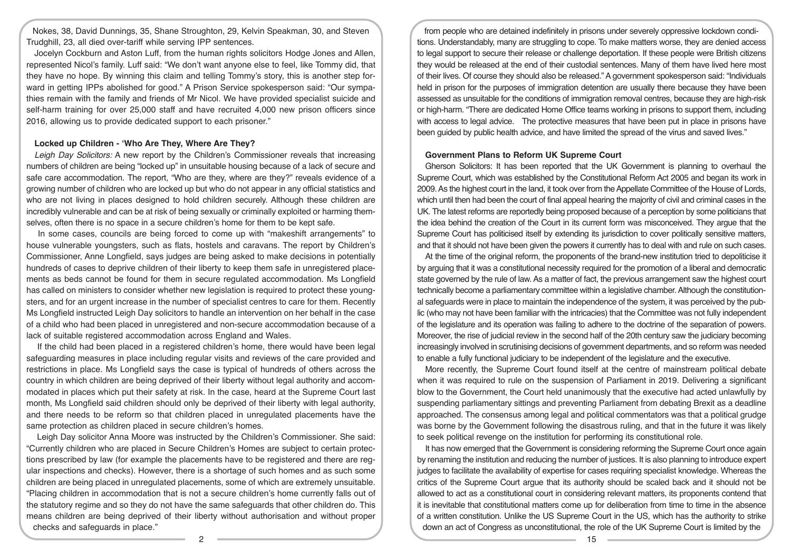Nokes, 38, David Dunnings, 35, Shane Stroughton, 29, Kelvin Speakman, 30, and Steven Trudghill, 23, all died over-tariff while serving IPP sentences.

Jocelyn Cockburn and Aston Luff, from the human rights solicitors Hodge Jones and Allen, represented Nicol's family. Luff said: "We don't want anyone else to feel, like Tommy did, that they have no hope. By winning this claim and telling Tommy's story, this is another step forward in getting IPPs abolished for good." A Prison Service spokesperson said: "Our sympathies remain with the family and friends of Mr Nicol. We have provided specialist suicide and self-harm training for over 25,000 staff and have recruited 4,000 new prison officers since 2016, allowing us to provide dedicated support to each prisoner."

#### **Locked up Children - 'Who Are They, Where Are They?**

*Leigh Day Solicitors:* A new report by the Children's Commissioner reveals that increasing numbers of children are being "locked up" in unsuitable housing because of a lack of secure and safe care accommodation. The report, "Who are they, where are they?" reveals evidence of a growing number of children who are locked up but who do not appear in any official statistics and who are not living in places designed to hold children securely. Although these children are incredibly vulnerable and can be at risk of being sexually or criminally exploited or harming themselves, often there is no space in a secure children's home for them to be kept safe.

 In some cases, councils are being forced to come up with "makeshift arrangements" to house vulnerable youngsters, such as flats, hostels and caravans. The report by Children's Commissioner, Anne Longfield, says judges are being asked to make decisions in potentially hundreds of cases to deprive children of their liberty to keep them safe in unregistered placements as beds cannot be found for them in secure regulated accommodation. Ms Longfield has called on ministers to consider whether new legislation is required to protect these youngsters, and for an urgent increase in the number of specialist centres to care for them. Recently Ms Longfield instructed Leigh Day solicitors to handle an intervention on her behalf in the case of a child who had been placed in unregistered and non-secure accommodation because of a lack of suitable registered accommodation across England and Wales.

 If the child had been placed in a registered children's home, there would have been legal safeguarding measures in place including regular visits and reviews of the care provided and restrictions in place. Ms Longfield says the case is typical of hundreds of others across the country in which children are being deprived of their liberty without legal authority and accommodated in places which put their safety at risk. In the case, heard at the Supreme Court last month, Ms Longfield said children should only be deprived of their liberty with legal authority, and there needs to be reform so that children placed in unregulated placements have the same protection as children placed in secure children's homes.

 Leigh Day solicitor Anna Moore was instructed by the Children's Commissioner. She said: "Currently children who are placed in Secure Children's Homes are subject to certain protections prescribed by law (for example the placements have to be registered and there are regular inspections and checks). However, there is a shortage of such homes and as such some children are being placed in unregulated placements, some of which are extremely unsuitable. "Placing children in accommodation that is not a secure children's home currently falls out of the statutory regime and so they do not have the same safeguards that other children do. This means children are being deprived of their liberty without authorisation and without proper checks and safeguards in place."

from people who are detained indefinitely in prisons under severely oppressive lockdown conditions. Understandably, many are struggling to cope. To make matters worse, they are denied access to legal support to secure their release or challenge deportation. If these people were British citizens they would be released at the end of their custodial sentences. Many of them have lived here most of their lives. Of course they should also be released." A government spokesperson said: "Individuals held in prison for the purposes of immigration detention are usually there because they have been assessed as unsuitable for the conditions of immigration removal centres, because they are high-risk or high-harm. "There are dedicated Home Office teams working in prisons to support them, including with access to legal advice. The protective measures that have been put in place in prisons have been guided by public health advice, and have limited the spread of the virus and saved lives."

#### **Government Plans to Reform UK Supreme Court**

Gherson Solicitors: It has been reported that the UK Government is planning to overhaul the Supreme Court, which was established by the Constitutional Reform Act 2005 and began its work in 2009. As the highest court in the land, it took over from the Appellate Committee of the House of Lords, which until then had been the court of final appeal hearing the majority of civil and criminal cases in the UK. The latest reforms are reportedly being proposed because of a perception by some politicians that the idea behind the creation of the Court in its current form was misconceived. They argue that the Supreme Court has politicised itself by extending its jurisdiction to cover politically sensitive matters, and that it should not have been given the powers it currently has to deal with and rule on such cases.

At the time of the original reform, the proponents of the brand-new institution tried to depoliticise it by arguing that it was a constitutional necessity required for the promotion of a liberal and democratic state governed by the rule of law. As a matter of fact, the previous arrangement saw the highest court technically become a parliamentary committee within a legislative chamber. Although the constitutional safeguards were in place to maintain the independence of the system, it was perceived by the public (who may not have been familiar with the intricacies) that the Committee was not fully independent of the legislature and its operation was failing to adhere to the doctrine of the separation of powers. Moreover, the rise of judicial review in the second half of the 20th century saw the judiciary becoming increasingly involved in scrutinising decisions of government departments, and so reform was needed to enable a fully functional judiciary to be independent of the legislature and the executive.

More recently, the Supreme Court found itself at the centre of mainstream political debate when it was required to rule on the suspension of Parliament in 2019. Delivering a significant blow to the Government, the Court held unanimously that the executive had acted unlawfully by suspending parliamentary sittings and preventing Parliament from debating Brexit as a deadline approached. The consensus among legal and political commentators was that a political grudge was borne by the Government following the disastrous ruling, and that in the future it was likely to seek political revenge on the institution for performing its constitutional role.

It has now emerged that the Government is considering reforming the Supreme Court once again by renaming the institution and reducing the number of justices. It is also planning to introduce expert judges to facilitate the availability of expertise for cases requiring specialist knowledge. Whereas the critics of the Supreme Court argue that its authority should be scaled back and it should not be allowed to act as a constitutional court in considering relevant matters, its proponents contend that it is inevitable that constitutional matters come up for deliberation from time to time in the absence of a written constitution. Unlike the US Supreme Court in the US, which has the authority to strike down an act of Congress as unconstitutional, the role of the UK Supreme Court is limited by the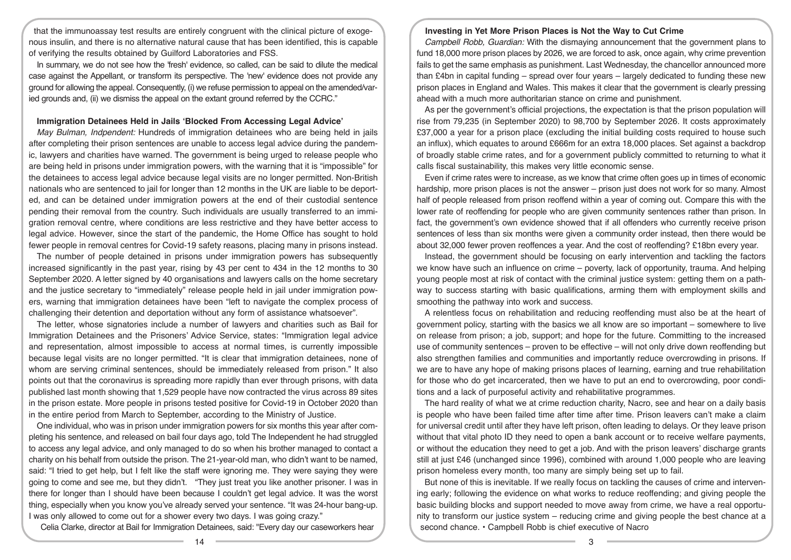that the immunoassay test results are entirely congruent with the clinical picture of exogenous insulin, and there is no alternative natural cause that has been identified, this is capable of verifying the results obtained by Guilford Laboratories and FSS.

In summary, we do not see how the 'fresh' evidence, so called, can be said to dilute the medical case against the Appellant, or transform its perspective. The 'new' evidence does not provide any ground for allowing the appeal. Consequently, (i) we refuse permission to appeal on the amended/varied grounds and, (ii) we dismiss the appeal on the extant ground referred by the CCRC."

#### **Immigration Detainees Held in Jails 'Blocked From Accessing Legal Advice'**

*May Bulman, Indpendent:* Hundreds of immigration detainees who are being held in jails after completing their prison sentences are unable to access legal advice during the pandemic, lawyers and charities have warned. The government is being urged to release people who are being held in prisons under immigration powers, with the warning that it is "impossible" for the detainees to access legal advice because legal visits are no longer permitted. Non-British nationals who are sentenced to jail for longer than 12 months in the UK are liable to be deported, and can be detained under immigration powers at the end of their custodial sentence pending their removal from the country. Such individuals are usually transferred to an immigration removal centre, where conditions are less restrictive and they have better access to legal advice. However, since the start of the pandemic, the Home Office has sought to hold fewer people in removal centres for Covid-19 safety reasons, placing many in prisons instead.

The number of people detained in prisons under immigration powers has subsequently increased significantly in the past year, rising by 43 per cent to 434 in the 12 months to 30 September 2020. A letter signed by 40 organisations and lawyers calls on the home secretary and the justice secretary to "immediately" release people held in jail under immigration powers, warning that immigration detainees have been "left to navigate the complex process of challenging their detention and deportation without any form of assistance whatsoever".

The letter, whose signatories include a number of lawyers and charities such as Bail for Immigration Detainees and the Prisoners' Advice Service, states: "Immigration legal advice and representation, almost impossible to access at normal times, is currently impossible because legal visits are no longer permitted. "It is clear that immigration detainees, none of whom are serving criminal sentences, should be immediately released from prison." It also points out that the coronavirus is spreading more rapidly than ever through prisons, with data published last month showing that 1,529 people have now contracted the virus across 89 sites in the prison estate. More people in prisons tested positive for Covid-19 in October 2020 than in the entire period from March to September, according to the Ministry of Justice.

One individual, who was in prison under immigration powers for six months this year after completing his sentence, and released on bail four days ago, told The Independent he had struggled to access any legal advice, and only managed to do so when his brother managed to contact a charity on his behalf from outside the prison. The 21-year-old man, who didn't want to be named, said: "I tried to get help, but I felt like the staff were ignoring me. They were saying they were going to come and see me, but they didn't. "They just treat you like another prisoner. I was in there for longer than I should have been because I couldn't get legal advice. It was the worst thing, especially when you know you've already served your sentence. "It was 24-hour bang-up. I was only allowed to come out for a shower every two days. I was going crazy."

Celia Clarke, director at Bail for Immigration Detainees, said: "Every day our caseworkers hear

#### **Investing in Yet More Prison Places is Not the Way to Cut Crime**

*Campbell Robb, Guardian:* With the dismaying announcement that the government plans to fund 18,000 more prison places by 2026, we are forced to ask, once again, why crime prevention fails to get the same emphasis as punishment. Last Wednesday, the chancellor announced more than £4bn in capital funding – spread over four years – largely dedicated to funding these new prison places in England and Wales. This makes it clear that the government is clearly pressing ahead with a much more authoritarian stance on crime and punishment.

As per the government's official projections, the expectation is that the prison population will rise from 79,235 (in September 2020) to 98,700 by September 2026. It costs approximately £37,000 a year for a prison place (excluding the initial building costs required to house such an influx), which equates to around £666m for an extra 18,000 places. Set against a backdrop of broadly stable crime rates, and for a government publicly committed to returning to what it calls fiscal sustainability, this makes very little economic sense.

Even if crime rates were to increase, as we know that crime often goes up in times of economic hardship, more prison places is not the answer – prison just does not work for so many. Almost half of people released from prison reoffend within a year of coming out. Compare this with the lower rate of reoffending for people who are given community sentences rather than prison. In fact, the government's own evidence showed that if all offenders who currently receive prison sentences of less than six months were given a community order instead, then there would be about 32,000 fewer proven reoffences a year. And the cost of reoffending? £18bn every year.

Instead, the government should be focusing on early intervention and tackling the factors we know have such an influence on crime – poverty, lack of opportunity, trauma. And helping young people most at risk of contact with the criminal justice system: getting them on a pathway to success starting with basic qualifications, arming them with employment skills and smoothing the pathway into work and success.

A relentless focus on rehabilitation and reducing reoffending must also be at the heart of government policy, starting with the basics we all know are so important – somewhere to live on release from prison; a job, support; and hope for the future. Committing to the increased use of community sentences – proven to be effective – will not only drive down reoffending but also strengthen families and communities and importantly reduce overcrowding in prisons. If we are to have any hope of making prisons places of learning, earning and true rehabilitation for those who do get incarcerated, then we have to put an end to overcrowding, poor conditions and a lack of purposeful activity and rehabilitative programmes.

The hard reality of what we at crime reduction charity, Nacro, see and hear on a daily basis is people who have been failed time after time after time. Prison leavers can't make a claim for universal credit until after they have left prison, often leading to delays. Or they leave prison without that vital photo ID they need to open a bank account or to receive welfare payments, or without the education they need to get a job. And with the prison leavers' discharge grants still at just £46 (unchanged since 1996), combined with around 1,000 people who are leaving prison homeless every month, too many are simply being set up to fail.

But none of this is inevitable. If we really focus on tackling the causes of crime and intervening early; following the evidence on what works to reduce reoffending; and giving people the basic building blocks and support needed to move away from crime, we have a real opportunity to transform our justice system – reducing crime and giving people the best chance at a second chance. • Campbell Robb is chief executive of Nacro

14 3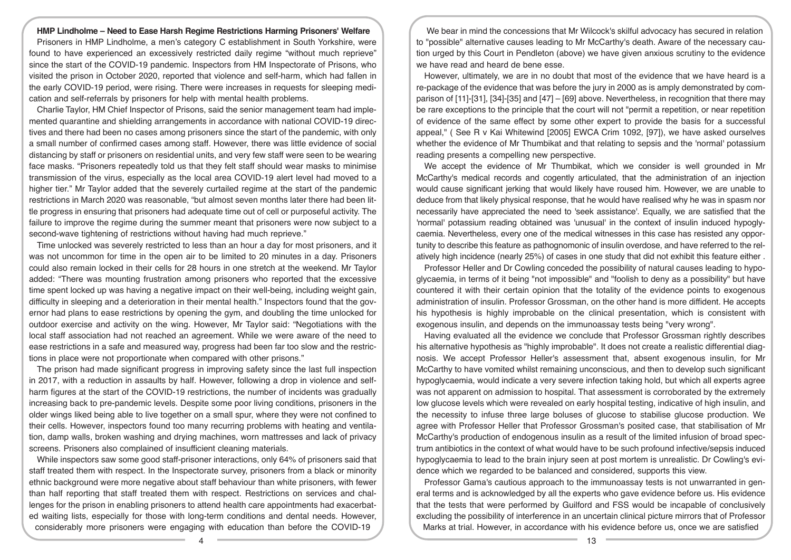#### **HMP Lindholme – Need to Ease Harsh Regime Restrictions Harming Prisoners' Welfare**

Prisoners in HMP Lindholme, a men's category C establishment in South Yorkshire, were found to have experienced an excessively restricted daily regime "without much reprieve" since the start of the COVID-19 pandemic. Inspectors from HM Inspectorate of Prisons, who visited the prison in October 2020, reported that violence and self-harm, which had fallen in the early COVID-19 period, were rising. There were increases in requests for sleeping medication and self-referrals by prisoners for help with mental health problems.

Charlie Taylor, HM Chief Inspector of Prisons, said the senior management team had implemented quarantine and shielding arrangements in accordance with national COVID-19 directives and there had been no cases among prisoners since the start of the pandemic, with only a small number of confirmed cases among staff. However, there was little evidence of social distancing by staff or prisoners on residential units, and very few staff were seen to be wearing face masks. "Prisoners repeatedly told us that they felt staff should wear masks to minimise transmission of the virus, especially as the local area COVID-19 alert level had moved to a higher tier." Mr Taylor added that the severely curtailed regime at the start of the pandemic restrictions in March 2020 was reasonable, "but almost seven months later there had been little progress in ensuring that prisoners had adequate time out of cell or purposeful activity. The failure to improve the regime during the summer meant that prisoners were now subject to a second-wave tightening of restrictions without having had much reprieve."

Time unlocked was severely restricted to less than an hour a day for most prisoners, and it was not uncommon for time in the open air to be limited to 20 minutes in a day. Prisoners could also remain locked in their cells for 28 hours in one stretch at the weekend. Mr Taylor added: "There was mounting frustration among prisoners who reported that the excessive time spent locked up was having a negative impact on their well-being, including weight gain, difficulty in sleeping and a deterioration in their mental health." Inspectors found that the governor had plans to ease restrictions by opening the gym, and doubling the time unlocked for outdoor exercise and activity on the wing. However, Mr Taylor said: "Negotiations with the local staff association had not reached an agreement. While we were aware of the need to ease restrictions in a safe and measured way, progress had been far too slow and the restrictions in place were not proportionate when compared with other prisons."

The prison had made significant progress in improving safety since the last full inspection in 2017, with a reduction in assaults by half. However, following a drop in violence and selfharm figures at the start of the COVID-19 restrictions, the number of incidents was gradually increasing back to pre-pandemic levels. Despite some poor living conditions, prisoners in the older wings liked being able to live together on a small spur, where they were not confined to their cells. However, inspectors found too many recurring problems with heating and ventilation, damp walls, broken washing and drying machines, worn mattresses and lack of privacy screens. Prisoners also complained of insufficient cleaning materials.

While inspectors saw some good staff-prisoner interactions, only 64% of prisoners said that staff treated them with respect. In the Inspectorate survey, prisoners from a black or minority ethnic background were more negative about staff behaviour than white prisoners, with fewer than half reporting that staff treated them with respect. Restrictions on services and challenges for the prison in enabling prisoners to attend health care appointments had exacerbated waiting lists, especially for those with long-term conditions and dental needs. However, considerably more prisoners were engaging with education than before the COVID-19

We bear in mind the concessions that Mr Wilcock's skilful advocacy has secured in relation to "possible" alternative causes leading to Mr McCarthy's death. Aware of the necessary caution urged by this Court in Pendleton (above) we have given anxious scrutiny to the evidence we have read and heard de bene esse.

However, ultimately, we are in no doubt that most of the evidence that we have heard is a re-package of the evidence that was before the jury in 2000 as is amply demonstrated by comparison of [11]-[31], [34]-[35] and [47] – [69] above. Nevertheless, in recognition that there may be rare exceptions to the principle that the court will not "permit a repetition, or near repetition of evidence of the same effect by some other expert to provide the basis for a successful appeal," ( See R v Kai Whitewind [2005] EWCA Crim 1092, [97]), we have asked ourselves whether the evidence of Mr Thumbikat and that relating to sepsis and the 'normal' potassium reading presents a compelling new perspective.

We accept the evidence of Mr Thumbikat, which we consider is well grounded in Mr McCarthy's medical records and cogently articulated, that the administration of an injection would cause significant jerking that would likely have roused him. However, we are unable to deduce from that likely physical response, that he would have realised why he was in spasm nor necessarily have appreciated the need to 'seek assistance'. Equally, we are satisfied that the 'normal' potassium reading obtained was 'unusual' in the context of insulin induced hypoglycaemia. Nevertheless, every one of the medical witnesses in this case has resisted any opportunity to describe this feature as pathognomonic of insulin overdose, and have referred to the relatively high incidence (nearly 25%) of cases in one study that did not exhibit this feature either .

Professor Heller and Dr Cowling conceded the possibility of natural causes leading to hypoglycaemia, in terms of it being "not impossible" and "foolish to deny as a possibility" but have countered it with their certain opinion that the totality of the evidence points to exogenous administration of insulin. Professor Grossman, on the other hand is more diffident. He accepts his hypothesis is highly improbable on the clinical presentation, which is consistent with exogenous insulin, and depends on the immunoassay tests being "very wrong".

Having evaluated all the evidence we conclude that Professor Grossman rightly describes his alternative hypothesis as "highly improbable". It does not create a realistic differential diagnosis. We accept Professor Heller's assessment that, absent exogenous insulin, for Mr McCarthy to have vomited whilst remaining unconscious, and then to develop such significant hypoglycaemia, would indicate a very severe infection taking hold, but which all experts agree was not apparent on admission to hospital. That assessment is corroborated by the extremely low glucose levels which were revealed on early hospital testing, indicative of high insulin, and the necessity to infuse three large boluses of glucose to stabilise glucose production. We agree with Professor Heller that Professor Grossman's posited case, that stabilisation of Mr McCarthy's production of endogenous insulin as a result of the limited infusion of broad spectrum antibiotics in the context of what would have to be such profound infective/sepsis induced hypoglycaemia to lead to the brain injury seen at post mortem is unrealistic. Dr Cowling's evidence which we regarded to be balanced and considered, supports this view.

Professor Gama's cautious approach to the immunoassay tests is not unwarranted in general terms and is acknowledged by all the experts who gave evidence before us. His evidence that the tests that were performed by Guilford and FSS would be incapable of conclusively excluding the possibility of interference in an uncertain clinical picture mirrors that of Professor Marks at trial. However, in accordance with his evidence before us, once we are satisfied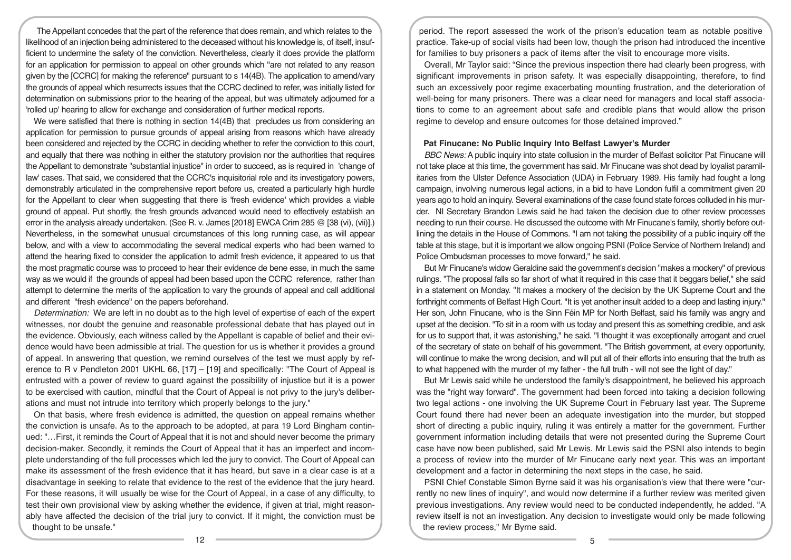The Appellant concedes that the part of the reference that does remain, and which relates to the likelihood of an injection being administered to the deceased without his knowledge is, of itself, insufficient to undermine the safety of the conviction. Nevertheless, clearly it does provide the platform for an application for permission to appeal on other grounds which "are not related to any reason given by the [CCRC] for making the reference" pursuant to s 14(4B). The application to amend/vary the grounds of appeal which resurrects issues that the CCRC declined to refer, was initially listed for determination on submissions prior to the hearing of the appeal, but was ultimately adjourned for a 'rolled up' hearing to allow for exchange and consideration of further medical reports.

We were satisfied that there is nothing in section 14(4B) that precludes us from considering an application for permission to pursue grounds of appeal arising from reasons which have already been considered and rejected by the CCRC in deciding whether to refer the conviction to this court, and equally that there was nothing in either the statutory provision nor the authorities that requires the Appellant to demonstrate "substantial injustice" in order to succeed, as is required in 'change of law' cases. That said, we considered that the CCRC's inquisitorial role and its investigatory powers, demonstrably articulated in the comprehensive report before us, created a particularly high hurdle for the Appellant to clear when suggesting that there is 'fresh evidence' which provides a viable ground of appeal. Put shortly, the fresh grounds advanced would need to effectively establish an error in the analysis already undertaken. (See R. v. James [2018] EWCA Crim 285 @ [38 (vi), (vii)].) Nevertheless, in the somewhat unusual circumstances of this long running case, as will appear below, and with a view to accommodating the several medical experts who had been warned to attend the hearing fixed to consider the application to admit fresh evidence, it appeared to us that the most pragmatic course was to proceed to hear their evidence de bene esse, in much the same way as we would if the grounds of appeal had been based upon the CCRC reference, rather than attempt to determine the merits of the application to vary the grounds of appeal and call additional and different "fresh evidence" on the papers beforehand.

*Determination:* We are left in no doubt as to the high level of expertise of each of the expert witnesses, nor doubt the genuine and reasonable professional debate that has played out in the evidence. Obviously, each witness called by the Appellant is capable of belief and their evidence would have been admissible at trial. The question for us is whether it provides a ground of appeal. In answering that question, we remind ourselves of the test we must apply by reference to R v Pendleton 2001 UKHL 66, [17] – [19] and specifically: "The Court of Appeal is entrusted with a power of review to guard against the possibility of injustice but it is a power to be exercised with caution, mindful that the Court of Appeal is not privy to the jury's deliberations and must not intrude into territory which properly belongs to the jury."

On that basis, where fresh evidence is admitted, the question on appeal remains whether the conviction is unsafe. As to the approach to be adopted, at para 19 Lord Bingham continued: "…First, it reminds the Court of Appeal that it is not and should never become the primary decision-maker. Secondly, it reminds the Court of Appeal that it has an imperfect and incomplete understanding of the full processes which led the jury to convict. The Court of Appeal can make its assessment of the fresh evidence that it has heard, but save in a clear case is at a disadvantage in seeking to relate that evidence to the rest of the evidence that the jury heard. For these reasons, it will usually be wise for the Court of Appeal, in a case of any difficulty, to test their own provisional view by asking whether the evidence, if given at trial, might reasonably have affected the decision of the trial jury to convict. If it might, the conviction must be thought to be unsafe."

period. The report assessed the work of the prison's education team as notable positive practice. Take-up of social visits had been low, though the prison had introduced the incentive for families to buy prisoners a pack of items after the visit to encourage more visits.

Overall, Mr Taylor said: "Since the previous inspection there had clearly been progress, with significant improvements in prison safety. It was especially disappointing, therefore, to find such an excessively poor regime exacerbating mounting frustration, and the deterioration of well-being for many prisoners. There was a clear need for managers and local staff associations to come to an agreement about safe and credible plans that would allow the prison regime to develop and ensure outcomes for those detained improved."

#### **Pat Finucane: No Public Inquiry Into Belfast Lawyer's Murder**

*BBC News:* A public inquiry into state collusion in the murder of Belfast solicitor Pat Finucane will not take place at this time, the government has said. Mr Finucane was shot dead by loyalist paramilitaries from the Ulster Defence Association (UDA) in February 1989. His family had fought a long campaign, involving numerous legal actions, in a bid to have London fulfil a commitment given 20 years ago to hold an inquiry. Several examinations of the case found state forces colluded in his murder. NI Secretary Brandon Lewis said he had taken the decision due to other review processes needing to run their course. He discussed the outcome with Mr Finucane's family, shortly before outlining the details in the House of Commons. "I am not taking the possibility of a public inquiry off the table at this stage, but it is important we allow ongoing PSNI (Police Service of Northern Ireland) and Police Ombudsman processes to move forward," he said.

But Mr Finucane's widow Geraldine said the government's decision "makes a mockery" of previous rulings. "The proposal falls so far short of what it required in this case that it beggars belief," she said in a statement on Monday. "It makes a mockery of the decision by the UK Supreme Court and the forthright comments of Belfast High Court. "It is yet another insult added to a deep and lasting injury." Her son, John Finucane, who is the Sinn Féin MP for North Belfast, said his family was angry and upset at the decision. "To sit in a room with us today and present this as something credible, and ask for us to support that, it was astonishing," he said. "I thought it was exceptionally arrogant and cruel of the secretary of state on behalf of his government. "The British government, at every opportunity, will continue to make the wrong decision, and will put all of their efforts into ensuring that the truth as to what happened with the murder of my father - the full truth - will not see the light of day."

But Mr Lewis said while he understood the family's disappointment, he believed his approach was the "right way forward". The government had been forced into taking a decision following two legal actions - one involving the UK Supreme Court in February last year. The Supreme Court found there had never been an adequate investigation into the murder, but stopped short of directing a public inquiry, ruling it was entirely a matter for the government. Further government information including details that were not presented during the Supreme Court case have now been published, said Mr Lewis. Mr Lewis said the PSNI also intends to begin a process of review into the murder of Mr Finucane early next year. This was an important development and a factor in determining the next steps in the case, he said.

PSNI Chief Constable Simon Byrne said it was his organisation's view that there were "currently no new lines of inquiry", and would now determine if a further review was merited given previous investigations. Any review would need to be conducted independently, he added. "A review itself is not an investigation. Any decision to investigate would only be made following the review process," Mr Byrne said.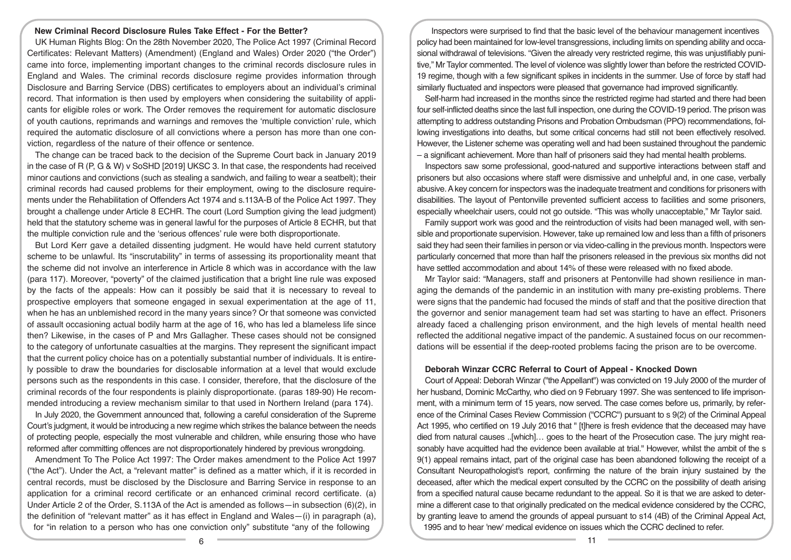## **New Criminal Record Disclosure Rules Take Effect - For the Better?**

UK Human Rights Blog: On the 28th November 2020, The Police Act 1997 (Criminal Record Certificates: Relevant Matters) (Amendment) (England and Wales) Order 2020 ("the Order") came into force, implementing important changes to the criminal records disclosure rules in England and Wales. The criminal records disclosure regime provides information through Disclosure and Barring Service (DBS) certificates to employers about an individual's criminal record. That information is then used by employers when considering the suitability of applicants for eligible roles or work. The Order removes the requirement for automatic disclosure of youth cautions, reprimands and warnings and removes the 'multiple conviction' rule, which required the automatic disclosure of all convictions where a person has more than one conviction, regardless of the nature of their offence or sentence.

The change can be traced back to the decision of the Supreme Court back in January 2019 in the case of R (P, G & W) v SoSHD [2019] UKSC 3. In that case, the respondents had received minor cautions and convictions (such as stealing a sandwich, and failing to wear a seatbelt); their criminal records had caused problems for their employment, owing to the disclosure requirements under the Rehabilitation of Offenders Act 1974 and s.113A-B of the Police Act 1997. They brought a challenge under Article 8 ECHR. The court (Lord Sumption giving the lead judgment) held that the statutory scheme was in general lawful for the purposes of Article 8 ECHR, but that the multiple conviction rule and the 'serious offences' rule were both disproportionate.

But Lord Kerr gave a detailed dissenting judgment. He would have held current statutory scheme to be unlawful. Its "inscrutability" in terms of assessing its proportionality meant that the scheme did not involve an interference in Article 8 which was in accordance with the law (para 117). Moreover, "poverty" of the claimed justification that a bright line rule was exposed by the facts of the appeals: How can it possibly be said that it is necessary to reveal to prospective employers that someone engaged in sexual experimentation at the age of 11, when he has an unblemished record in the many years since? Or that someone was convicted of assault occasioning actual bodily harm at the age of 16, who has led a blameless life since then? Likewise, in the cases of P and Mrs Gallagher. These cases should not be consigned to the category of unfortunate casualties at the margins. They represent the significant impact that the current policy choice has on a potentially substantial number of individuals. It is entirely possible to draw the boundaries for disclosable information at a level that would exclude persons such as the respondents in this case. I consider, therefore, that the disclosure of the criminal records of the four respondents is plainly disproportionate. (paras 189-90) He recommended introducing a review mechanism similar to that used in Northern Ireland (para 174).

In July 2020, the Government announced that, following a careful consideration of the Supreme Court's judgment, it would be introducing a new regime which strikes the balance between the needs of protecting people, especially the most vulnerable and children, while ensuring those who have reformed after committing offences are not disproportionately hindered by previous wrongdoing.

Amendment To The Police Act 1997: The Order makes amendment to the Police Act 1997 ("the Act"). Under the Act, a "relevant matter" is defined as a matter which, if it is recorded in central records, must be disclosed by the Disclosure and Barring Service in response to an application for a criminal record certificate or an enhanced criminal record certificate. (a) Under Article 2 of the Order, S.113A of the Act is amended as follows—in subsection (6)(2), in the definition of "relevant matter" as it has effect in England and Wales—(i) in paragraph (a), for "in relation to a person who has one conviction only" substitute "any of the following

Inspectors were surprised to find that the basic level of the behaviour management incentives policy had been maintained for low-level transgressions, including limits on spending ability and occasional withdrawal of televisions. "Given the already very restricted regime, this was unjustifiably punitive," Mr Taylor commented. The level of violence was slightly lower than before the restricted COVID-19 regime, though with a few significant spikes in incidents in the summer. Use of force by staff had similarly fluctuated and inspectors were pleased that governance had improved significantly.

Self-harm had increased in the months since the restricted regime had started and there had been four self-inflicted deaths since the last full inspection, one during the COVID-19 period. The prison was attempting to address outstanding Prisons and Probation Ombudsman (PPO) recommendations, following investigations into deaths, but some critical concerns had still not been effectively resolved. However, the Listener scheme was operating well and had been sustained throughout the pandemic – a significant achievement. More than half of prisoners said they had mental health problems.

Inspectors saw some professional, good-natured and supportive interactions between staff and prisoners but also occasions where staff were dismissive and unhelpful and, in one case, verbally abusive. A key concern for inspectors was the inadequate treatment and conditions for prisoners with disabilities. The layout of Pentonville prevented sufficient access to facilities and some prisoners, especially wheelchair users, could not go outside. "This was wholly unacceptable," Mr Taylor said.

Family support work was good and the reintroduction of visits had been managed well, with sensible and proportionate supervision. However, take up remained low and less than a fifth of prisoners said they had seen their families in person or via video-calling in the previous month. Inspectors were particularly concerned that more than half the prisoners released in the previous six months did not have settled accommodation and about 14% of these were released with no fixed abode.

Mr Taylor said: "Managers, staff and prisoners at Pentonville had shown resilience in managing the demands of the pandemic in an institution with many pre-existing problems. There were signs that the pandemic had focused the minds of staff and that the positive direction that the governor and senior management team had set was starting to have an effect. Prisoners already faced a challenging prison environment, and the high levels of mental health need reflected the additional negative impact of the pandemic. A sustained focus on our recommendations will be essential if the deep-rooted problems facing the prison are to be overcome.

## **Deborah Winzar CCRC Referral to Court of Appeal - Knocked Down**

Court of Appeal: Deborah Winzar ("the Appellant") was convicted on 19 July 2000 of the murder of her husband, Dominic McCarthy, who died on 9 February 1997. She was sentenced to life imprisonment, with a minimum term of 15 years, now served. The case comes before us, primarily, by reference of the Criminal Cases Review Commission ("CCRC") pursuant to s 9(2) of the Criminal Appeal Act 1995, who certified on 19 July 2016 that " [t]here is fresh evidence that the deceased may have died from natural causes ..[which]… goes to the heart of the Prosecution case. The jury might reasonably have acquitted had the evidence been available at trial." However, whilst the ambit of the s 9(1) appeal remains intact, part of the original case has been abandoned following the receipt of a Consultant Neuropathologist's report, confirming the nature of the brain injury sustained by the deceased, after which the medical expert consulted by the CCRC on the possibility of death arising from a specified natural cause became redundant to the appeal. So it is that we are asked to determine a different case to that originally predicated on the medical evidence considered by the CCRC. by granting leave to amend the grounds of appeal pursuant to s14 (4B) of the Criminal Appeal Act, 1995 and to hear 'new' medical evidence on issues which the CCRC declined to refer.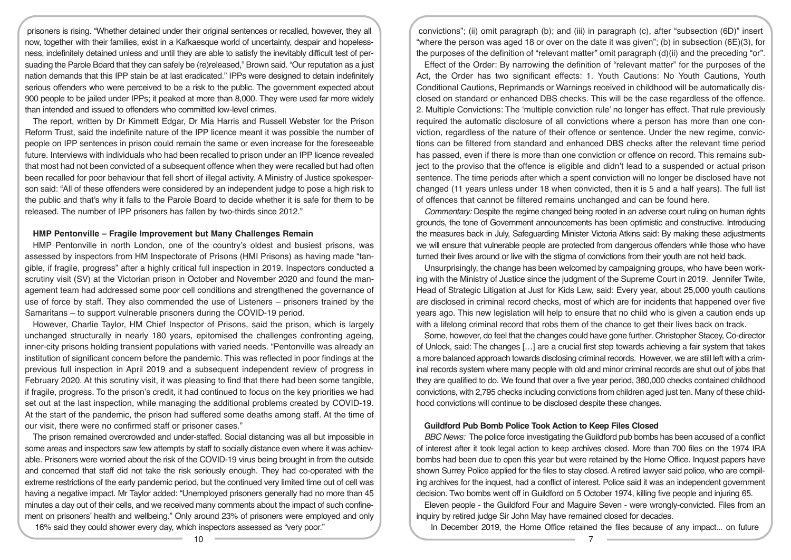prisoners is rising. "Whether detained under their original sentences or recalled, however, they all now, together with their families, exist in a Kafkaesque world of uncertainty, despair and hopelessness, indefinitely detained unless and until they are able to satisfy the inevitably difficult test of persuading the Parole Board that they can safely be (re)released," Brown said. "Our reputation as a just nation demands that this IPP stain be at last eradicated." IPPs were designed to detain indefinitely serious offenders who were perceived to be a risk to the public. The government expected about 900 people to be jailed under IPPs; it peaked at more than 8,000. They were used far more widely than intended and issued to offenders who committed low-level crimes.

The report, written by Dr Kimmett Edgar, Dr Mia Harris and Russell Webster for the Prison Reform Trust, said the indefinite nature of the IPP licence meant it was possible the number of people on IPP sentences in prison could remain the same or even increase for the foreseeable future. Interviews with individuals who had been recalled to prison under an IPP licence revealed that most had not been convicted of a subsequent offence when they were recalled but had often been recalled for poor behaviour that fell short of illegal activity. A Ministry of Justice spokesperson said: "All of these offenders were considered by an independent judge to pose a high risk to the public and that's why it falls to the Parole Board to decide whether it is safe for them to be released. The number of IPP prisoners has fallen by two-thirds since 2012."

## **HMP Pentonville – Fragile Improvement but Many Challenges Remain**

HMP Pentonville in north London, one of the country's oldest and busiest prisons, was assessed by inspectors from HM Inspectorate of Prisons (HMI Prisons) as having made "tangible, if fragile, progress" after a highly critical full inspection in 2019. Inspectors conducted a scrutiny visit (SV) at the Victorian prison in October and November 2020 and found the management team had addressed some poor cell conditions and strengthened the governance of use of force by staff. They also commended the use of Listeners – prisoners trained by the Samaritans – to support vulnerable prisoners during the COVID-19 period.

However, Charlie Taylor, HM Chief Inspector of Prisons, said the prison, which is largely unchanged structurally in nearly 180 years, epitomised the challenges confronting ageing, inner-city prisons holding transient populations with varied needs. "Pentonville was already an institution of significant concern before the pandemic. This was reflected in poor findings at the previous full inspection in April 2019 and a subsequent independent review of progress in February 2020. At this scrutiny visit, it was pleasing to find that there had been some tangible, if fragile, progress. To the prison's credit, it had continued to focus on the key priorities we had set out at the last inspection, while managing the additional problems created by COVID-19. At the start of the pandemic, the prison had suffered some deaths among staff. At the time of our visit, there were no confirmed staff or prisoner cases."

The prison remained overcrowded and under-staffed. Social distancing was all but impossible in some areas and inspectors saw few attempts by staff to socially distance even where it was achievable. Prisoners were worried about the risk of the COVID-19 virus being brought in from the outside and concerned that staff did not take the risk seriously enough. They had co-operated with the extreme restrictions of the early pandemic period, but the continued very limited time out of cell was having a negative impact. Mr Taylor added: "Unemployed prisoners generally had no more than 45 minutes a day out of their cells, and we received many comments about the impact of such confinement on prisoners' health and wellbeing." Only around 23% of prisoners were employed and only 16% said they could shower every day, which inspectors assessed as "very poor."

convictions"; (ii) omit paragraph (b); and (iii) in paragraph (c), after "subsection (6D)" insert "where the person was aged 18 or over on the date it was given"; (b) in subsection (6E)(3), for the purposes of the definition of "relevant matter" omit paragraph (d)(ii) and the preceding "or".

Effect of the Order: By narrowing the definition of "relevant matter" for the purposes of the Act, the Order has two significant effects: 1. Youth Cautions: No Youth Cautions, Youth Conditional Cautions, Reprimands or Warnings received in childhood will be automatically disclosed on standard or enhanced DBS checks. This will be the case regardless of the offence. 2. Multiple Convictions: The 'multiple conviction rule' no longer has effect. That rule previously required the automatic disclosure of all convictions where a person has more than one conviction, regardless of the nature of their offence or sentence. Under the new regime, convictions can be filtered from standard and enhanced DBS checks after the relevant time period has passed, even if there is more than one conviction or offence on record. This remains subject to the proviso that the offence is eligible and didn't lead to a suspended or actual prison sentence. The time periods after which a spent conviction will no longer be disclosed have not changed (11 years unless under 18 when convicted, then it is 5 and a half years). The full list of offences that cannot be filtered remains unchanged and can be found here.

*Commentary:* Despite the regime changed being rooted in an adverse court ruling on human rights grounds, the tone of Government announcements has been optimistic and constructive. Introducing the measures back in July, Safeguarding Minister Victoria Atkins said: By making these adjustments we will ensure that vulnerable people are protected from dangerous offenders while those who have turned their lives around or live with the stigma of convictions from their youth are not held back.

Unsurprisingly, the change has been welcomed by campaigning groups, who have been working with the Ministry of Justice since the judgment of the Supreme Court in 2019. Jennifer Twite, Head of Strategic Litigation at Just for Kids Law, said: Every year, about 25,000 youth cautions are disclosed in criminal record checks, most of which are for incidents that happened over five years ago. This new legislation will help to ensure that no child who is given a caution ends up with a lifelong criminal record that robs them of the chance to get their lives back on track.

Some, however, do feel that the changes could have gone further. Christopher Stacey, Co-director of Unlock, said: The changes […] are a crucial first step towards achieving a fair system that takes a more balanced approach towards disclosing criminal records. However, we are still left with a criminal records system where many people with old and minor criminal records are shut out of jobs that they are qualified to do. We found that over a five year period, 380,000 checks contained childhood convictions, with 2,795 checks including convictions from children aged just ten. Many of these childhood convictions will continue to be disclosed despite these changes.

## **Guildford Pub Bomb Police Took Action to Keep Files Closed**

*BBC News:* The police force investigating the Guildford pub bombs has been accused of a conflict of interest after it took legal action to keep archives closed. More than 700 files on the 1974 IRA bombs had been due to open this year but were retained by the Home Office. Inquest papers have shown Surrey Police applied for the files to stay closed. A retired lawyer said police, who are compiling archives for the inquest, had a conflict of interest. Police said it was an independent government decision. Two bombs went off in Guildford on 5 October 1974, killing five people and injuring 65.

Eleven people - the Guildford Four and Maguire Seven - were wrongly-convicted. Files from an inquiry by retired judge Sir John May have remained closed for decades.

In December 2019, the Home Office retained the files because of any impact... on future